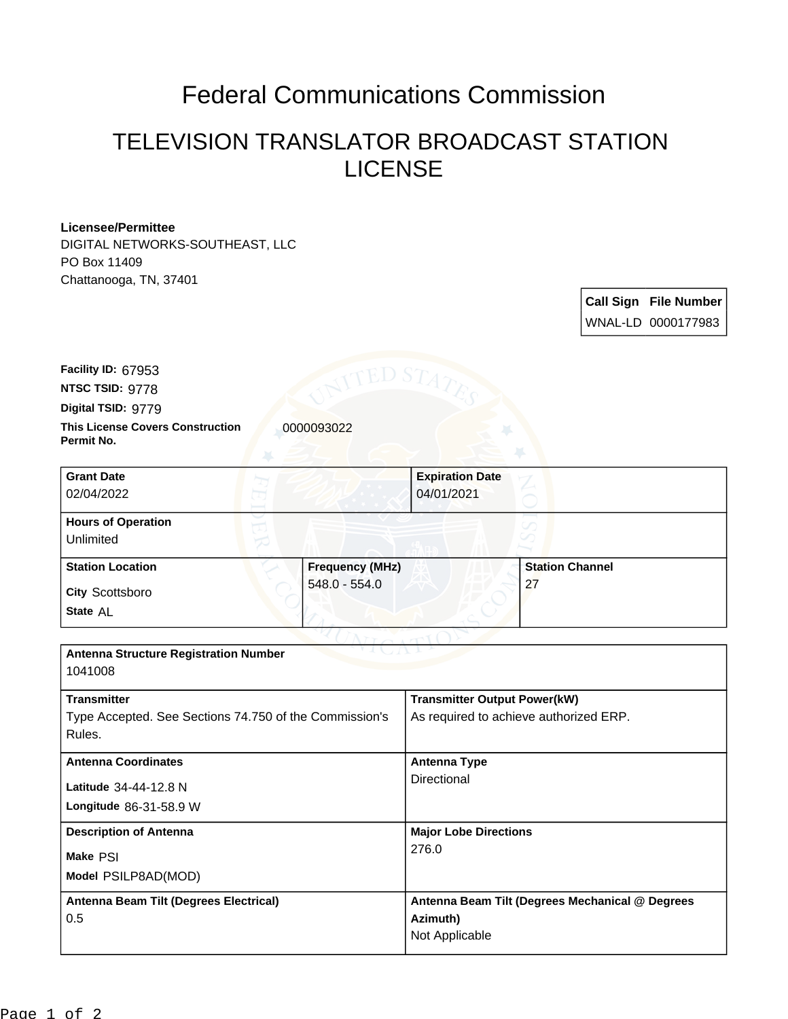## Federal Communications Commission

## TELEVISION TRANSLATOR BROADCAST STATION LICENSE

## **Licensee/Permittee**

DIGITAL NETWORKS-SOUTHEAST, LLC PO Box 11409 Chattanooga, TN, 37401

> **Call Sign File Number** WNAL-LD 0000177983

**This License Covers Construction**  0000093022 **Permit No. Digital TSID:** 9779 **NTSC TSID:** 9778 **Facility ID:** 67953

| <b>Grant Date</b><br>02/04/2022        |                        | <b>Expiration Date</b><br>04/01/2021 |                        |
|----------------------------------------|------------------------|--------------------------------------|------------------------|
| <b>Hours of Operation</b><br>Unlimited |                        |                                      |                        |
| <b>Station Location</b>                | <b>Frequency (MHz)</b> |                                      | <b>Station Channel</b> |
| <b>City Scottsboro</b><br>State AL     | 548.0 - 554.0          |                                      | 27                     |

| <b>Antenna Structure Registration Number</b>           |                                                 |  |  |  |
|--------------------------------------------------------|-------------------------------------------------|--|--|--|
| 1041008                                                |                                                 |  |  |  |
| <b>Transmitter</b>                                     | <b>Transmitter Output Power(kW)</b>             |  |  |  |
| Type Accepted. See Sections 74.750 of the Commission's | As required to achieve authorized ERP.          |  |  |  |
| Rules.                                                 |                                                 |  |  |  |
|                                                        |                                                 |  |  |  |
| <b>Antenna Coordinates</b>                             | <b>Antenna Type</b>                             |  |  |  |
| Latitude 34-44-12.8 N                                  | Directional                                     |  |  |  |
|                                                        |                                                 |  |  |  |
| Longitude 86-31-58.9 W                                 |                                                 |  |  |  |
| <b>Description of Antenna</b>                          | <b>Major Lobe Directions</b>                    |  |  |  |
| Make PSI                                               | 276.0                                           |  |  |  |
|                                                        |                                                 |  |  |  |
| Model PSILP8AD(MOD)                                    |                                                 |  |  |  |
| Antenna Beam Tilt (Degrees Electrical)                 | Antenna Beam Tilt (Degrees Mechanical @ Degrees |  |  |  |
| 0.5                                                    | Azimuth)                                        |  |  |  |
|                                                        | Not Applicable                                  |  |  |  |
|                                                        |                                                 |  |  |  |